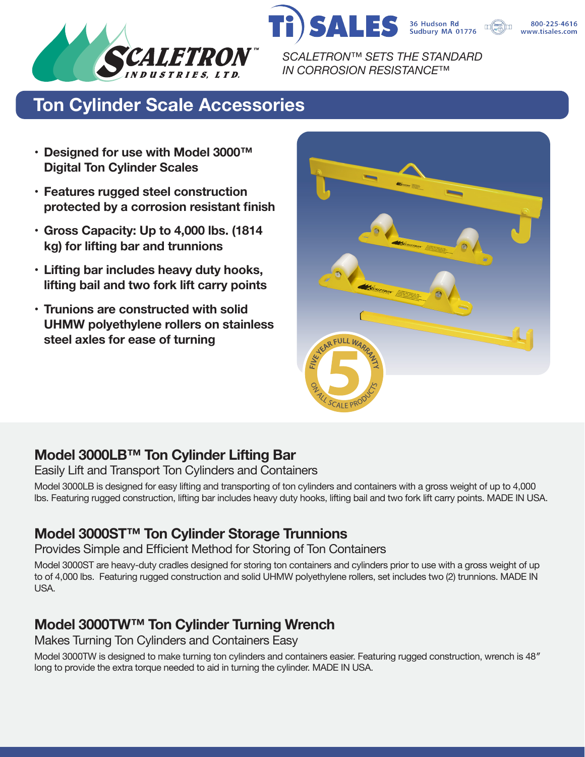

36 Hudson Rd<br>Sudbury MA 01776 *SCALETRON™ SETS THE STANDARD IN CORROSION RESISTANCE™*

S

800-225-4616 www.tisales.com



- **• Designed for use with Model 3000™ Digital Ton Cylinder Scales**
- **• Features rugged steel construction protected by a corrosion resistant finish**
- **• Gross Capacity: Up to 4,000 lbs. (1814 kg) for lifting bar and trunnions**
- **• Lifting bar includes heavy duty hooks, lifting bail and two fork lift carry points**
- **• Trunions are constructed with solid UHMW polyethylene rollers on stainless steel axles for ease of turning**

 $PCAIFP$ 

# **Model 3000LB™ Ton Cylinder Lifting Bar**

Easily Lift and Transport Ton Cylinders and Containers

Model 3000LB is designed for easy lifting and transporting of ton cylinders and containers with a gross weight of up to 4,000 lbs. Featuring rugged construction, lifting bar includes heavy duty hooks, lifting bail and two fork lift carry points. MADE IN USA.

## **Model 3000ST™ Ton Cylinder Storage Trunnions**

Provides Simple and Efficient Method for Storing of Ton Containers

Model 3000ST are heavy-duty cradles designed for storing ton containers and cylinders prior to use with a gross weight of up to of 4,000 lbs. Featuring rugged construction and solid UHMW polyethylene rollers, set includes two (2) trunnions. MADE IN USA.

# **Model 3000TW™ Ton Cylinder Turning Wrench**

Makes Turning Ton Cylinders and Containers Easy

Model 3000TW is designed to make turning ton cylinders and containers easier. Featuring rugged construction, wrench is 48″ long to provide the extra torque needed to aid in turning the cylinder. MADE IN USA.